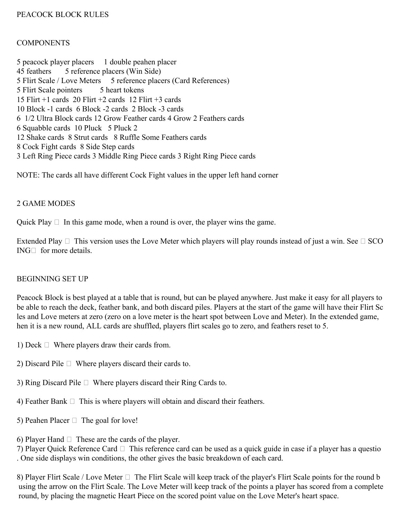# PEACOCK BLOCK RULES

### **COMPONENTS**

5 peacock player placers 1 double peahen placer 45 feathers 5 reference placers (Win Side) 5 Flirt Scale / Love Meters 5 reference placers (Card References) 5 Flirt Scale pointers 5 heart tokens 15 Flirt +1 cards 20 Flirt +2 cards 12 Flirt +3 cards 10 Block -1 cards 6 Block -2 cards 2 Block -3 cards 6 1/2 Ultra Block cards 12 Grow Feather cards 4 Grow 2 Feathers cards 6 Squabble cards 10 Pluck 5 Pluck 2 12 Shake cards 8 Strut cards 8 Ruffle Some Feathers cards 8 Cock Fight cards 8 Side Step cards 3 Left Ring Piece cards 3 Middle Ring Piece cards 3 Right Ring Piece cards

NOTE: The cards all have different Cock Fight values in the upper left hand corner

#### 2 GAME MODES

Quick Play  $\Box$  In this game mode, when a round is over, the player wins the game.

Extended Play  $\Box$  This version uses the Love Meter which players will play rounds instead of just a win. See  $\Box$  SCO  $ING \sqcap$  for more details.

#### BEGINNING SET UP

Peacock Block is best played at a table that is round, but can be played anywhere. Just make it easy for all players to be able to reach the deck, feather bank, and both discard piles. Players at the start of the game will have their Flirt Sc les and Love meters at zero (zero on a love meter is the heart spot between Love and Meter). In the extended game, hen it is a new round, ALL cards are shuffled, players flirt scales go to zero, and feathers reset to 5.

- 1) Deck  $\Box$  Where players draw their cards from.
- 2) Discard Pile  $\Box$  Where players discard their cards to.
- 3) Ring Discard Pile  $\Box$  Where players discard their Ring Cards to.
- 4) Feather Bank  $\Box$  This is where players will obtain and discard their feathers.
- 5) Peahen Placer  $\Box$  The goal for love!
- 6) Player Hand  $\Box$  These are the cards of the player.

7) Player Quick Reference Card  $\Box$  This reference card can be used as a quick guide in case if a player has a questio . One side displays win conditions, the other gives the basic breakdown of each card.

8) Player Flirt Scale / Love Meter  $\Box$  The Flirt Scale will keep track of the player's Flirt Scale points for the round b using the arrow on the Flirt Scale. The Love Meter will keep track of the points a player has scored from a complete round, by placing the magnetic Heart Piece on the scored point value on the Love Meter's heart space.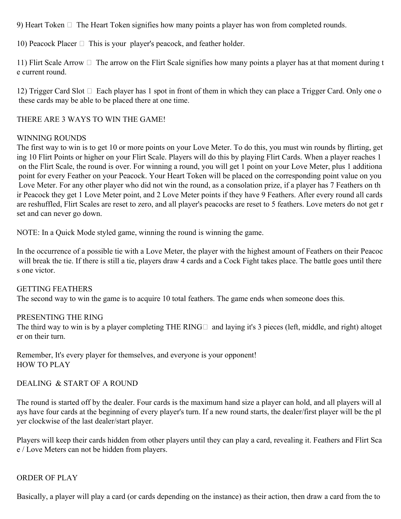9) Heart Token  $\Box$  The Heart Token signifies how many points a player has won from completed rounds.

10) Peacock Placer  $\Box$  This is your player's peacock, and feather holder.

11) Flirt Scale Arrow  $\Box$  The arrow on the Flirt Scale signifies how many points a player has at that moment during t e current round.

12) Trigger Card Slot  $\Box$  Each player has 1 spot in front of them in which they can place a Trigger Card. Only one o these cards may be able to be placed there at one time.

### THERE ARE 3 WAYS TO WIN THE GAME!

### WINNING ROUNDS

The first way to win is to get 10 or more points on your Love Meter. To do this, you must win rounds by flirting, get ing 10 Flirt Points or higher on your Flirt Scale. Players will do this by playing Flirt Cards. When a player reaches 1 on the Flirt Scale, the round is over. For winning a round, you will get 1 point on your Love Meter, plus 1 additiona point for every Feather on your Peacock. Your Heart Token will be placed on the corresponding point value on you Love Meter. For any other player who did not win the round, as a consolation prize, if a player has 7 Feathers on th ir Peacock they get 1 Love Meter point, and 2 Love Meter points if they have 9 Feathers. After every round all cards are reshuffled, Flirt Scales are reset to zero, and all player's peacocks are reset to 5 feathers. Love meters do not get r set and can never go down.

NOTE: In a Quick Mode styled game, winning the round is winning the game.

In the occurrence of a possible tie with a Love Meter, the player with the highest amount of Feathers on their Peacoc will break the tie. If there is still a tie, players draw 4 cards and a Cock Fight takes place. The battle goes until there s one victor.

### GETTING FEATHERS

The second way to win the game is to acquire 10 total feathers. The game ends when someone does this.

### PRESENTING THE RING

The third way to win is by a player completing THE RING $\Box$  and laying it's 3 pieces (left, middle, and right) altoget er on their turn.

Remember, It's every player for themselves, and everyone is your opponent! HOW TO PLAY

### DEALING & START OF A ROUND

The round is started off by the dealer. Four cards is the maximum hand size a player can hold, and all players will al ays have four cards at the beginning of every player's turn. If a new round starts, the dealer/first player will be the pl yer clockwise of the last dealer/start player.

Players will keep their cards hidden from other players until they can play a card, revealing it. Feathers and Flirt Sca e / Love Meters can not be hidden from players.

### ORDER OF PLAY

Basically, a player will play a card (or cards depending on the instance) as their action, then draw a card from the to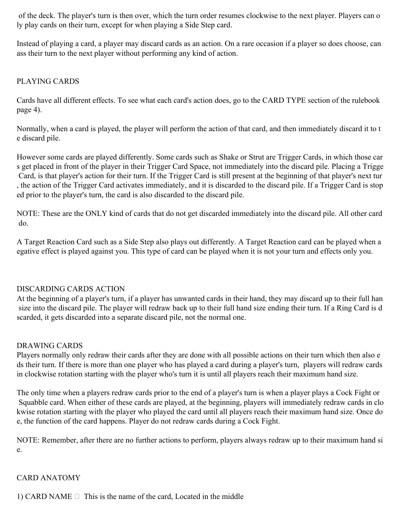of the deck. The player's turn is then over, which the turn order resumes clockwise to the next player. Players can o ly play cards on their turn, except for when playing a Side Step card.

Instead of playing a card, a player may discard cards as an action. On a rare occasion if a player so does choose, can ass their turn to the next player without performing any kind of action.

# PLAYING CARDS

Cards have all different effects. To see what each card's action does, go to the CARD TYPE section of the rulebook page 4).

Normally, when a card is played, the player will perform the action of that card, and then immediately discard it to t e discard pile.

However some cards are played differently. Some cards such as Shake or Strut are Trigger Cards, in which those car s get placed in front of the player in their Trigger Card Space, not immediately into the discard pile. Placing a Trigge Card, is that player's action for their turn. If the Trigger Card is still present at the beginning of that player's next tur , the action of the Trigger Card activates immediately, and it is discarded to the discard pile. If a Trigger Card is stop ed prior to the player's turn, the card is also discarded to the discard pile.

NOTE: These are the ONLY kind of cards that do not get discarded immediately into the discard pile. All other card do.

A Target Reaction Card such as a Side Step also plays out differently. A Target Reaction card can be played when a egative effect is played against you. This type of card can be played when it is not your turn and effects only you.

### DISCARDING CARDS ACTION

At the beginning of a player's turn, if a player has unwanted cards in their hand, they may discard up to their full han size into the discard pile. The player will redraw back up to their full hand size ending their turn. If a Ring Card is d scarded, it gets discarded into a separate discard pile, not the normal one.

### DRAWING CARDS

Players normally only redraw their cards after they are done with all possible actions on their turn which then also e ds their turn. If there is more than one player who has played a card during a player's turn, players will redraw cards in clockwise rotation starting with the player who's turn it is until all players reach their maximum hand size.

The only time when a players redraw cards prior to the end of a player's turn is when a player plays a Cock Fight or Squabble card. When either of these cards are played, at the beginning, players will immediately redraw cards in clo kwise rotation starting with the player who played the card until all players reach their maximum hand size. Once do e, the function of the card happens. Player do not redraw cards during a Cock Fight.

NOTE: Remember, after there are no further actions to perform, players always redraw up to their maximum hand si e.

### CARD ANATOMY

1) CARD NAME  $\Box$  This is the name of the card, Located in the middle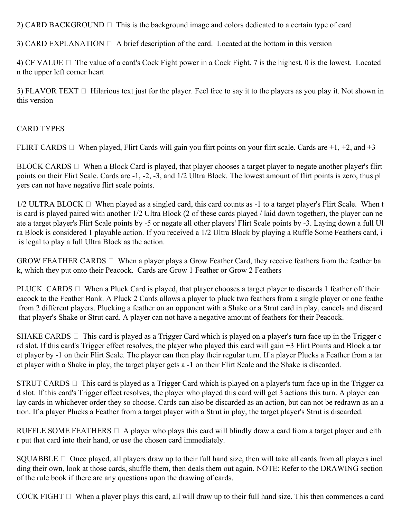2) CARD BACKGROUND  $\Box$  This is the background image and colors dedicated to a certain type of card

3) CARD EXPLANATION  $\Box$  A brief description of the card. Located at the bottom in this version

4) CF VALUE  $\Box$  The value of a card's Cock Fight power in a Cock Fight. 7 is the highest, 0 is the lowest. Located n the upper left corner heart

5) FLAVOR TEXT  $\Box$  Hilarious text just for the player. Feel free to say it to the players as you play it. Not shown in this version

# CARD TYPES

FLIRT CARDS  $\Box$  When played, Flirt Cards will gain you flirt points on your flirt scale. Cards are +1, +2, and +3

BLOCK CARDS  $\Box$  When a Block Card is played, that player chooses a target player to negate another player's flirt points on their Flirt Scale. Cards are -1, -2, -3, and 1/2 Ultra Block. The lowest amount of flirt points is zero, thus pl yers can not have negative flirt scale points.

 $1/2$  ULTRA BLOCK  $\Box$  When played as a singled card, this card counts as -1 to a target player's Flirt Scale. When t is card is played paired with another 1/2 Ultra Block (2 of these cards played / laid down together), the player can ne ate a target player's Flirt Scale points by -5 or negate all other players' Flirt Scale points by -3. Laying down a full Ul ra Block is considered 1 playable action. If you received a 1/2 Ultra Block by playing a Ruffle Some Feathers card, i is legal to play a full Ultra Block as the action.

GROW FEATHER CARDS  $\Box$  When a player plays a Grow Feather Card, they receive feathers from the feather ba k, which they put onto their Peacock. Cards are Grow 1 Feather or Grow 2 Feathers

PLUCK CARDS  $\Box$  When a Pluck Card is played, that player chooses a target player to discards 1 feather off their eacock to the Feather Bank. A Pluck 2 Cards allows a player to pluck two feathers from a single player or one feathe from 2 different players. Plucking a feather on an opponent with a Shake or a Strut card in play, cancels and discard that player's Shake or Strut card. A player can not have a negative amount of feathers for their Peacock.

SHAKE CARDS  $\Box$  This card is played as a Trigger Card which is played on a player's turn face up in the Trigger c rd slot. If this card's Trigger effect resolves, the player who played this card will gain +3 Flirt Points and Block a tar et player by -1 on their Flirt Scale. The player can then play their regular turn. If a player Plucks a Feather from a tar et player with a Shake in play, the target player gets a -1 on their Flirt Scale and the Shake is discarded.

STRUT CARDS  $\Box$  This card is played as a Trigger Card which is played on a player's turn face up in the Trigger ca d slot. If this card's Trigger effect resolves, the player who played this card will get 3 actions this turn. A player can lay cards in whichever order they so choose. Cards can also be discarded as an action, but can not be redrawn as an a tion. If a player Plucks a Feather from a target player with a Strut in play, the target player's Strut is discarded.

RUFFLE SOME FEATHERS  $\Box$  A player who plays this card will blindly draw a card from a target player and eith r put that card into their hand, or use the chosen card immediately.

 $SQUABBLE \Box$  Once played, all players draw up to their full hand size, then will take all cards from all players incl ding their own, look at those cards, shuffle them, then deals them out again. NOTE: Refer to the DRAWING section of the rule book if there are any questions upon the drawing of cards.

COCK FIGHT  $\Box$  When a player plays this card, all will draw up to their full hand size. This then commences a card